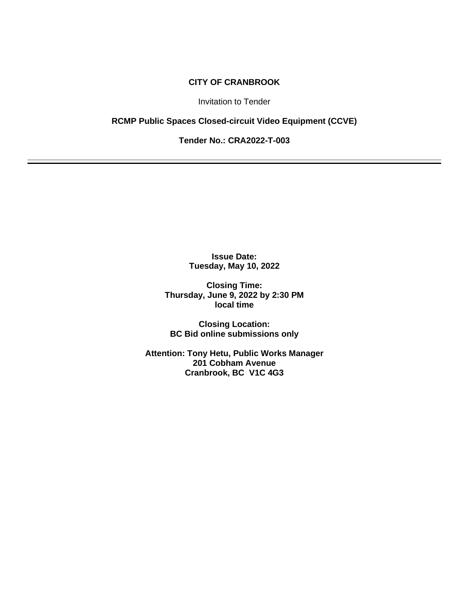## **CITY OF CRANBROOK**

Invitation to Tender

## **RCMP Public Spaces Closed-circuit Video Equipment (CCVE)**

**Tender No.: CRA2022-T-003**

**Issue Date: Tuesday, May 10, 2022**

**Closing Time: Thursday, June 9, 2022 by 2:30 PM local time**

**Closing Location: BC Bid online submissions only**

**Attention: Tony Hetu, Public Works Manager 201 Cobham Avenue Cranbrook, BC V1C 4G3**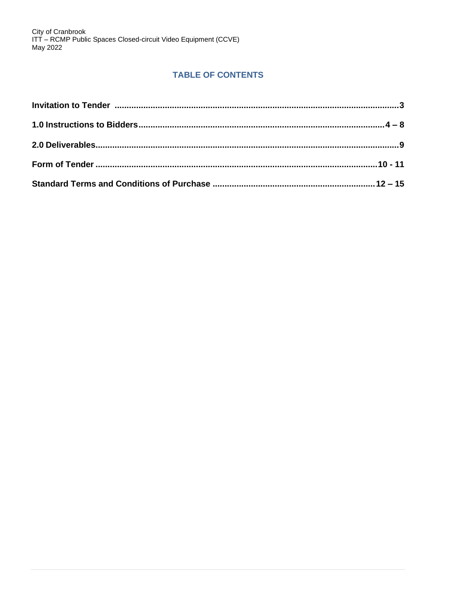# **TABLE OF CONTENTS**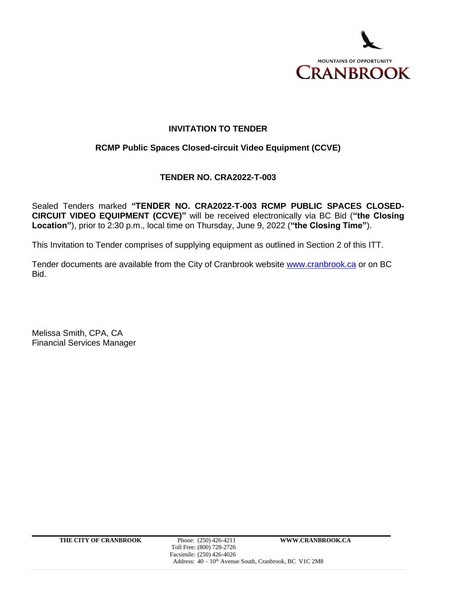

## **INVITATION TO TENDER**

## **RCMP Public Spaces Closed-circuit Video Equipment (CCVE)**

## **TENDER NO. CRA2022-T-003**

Sealed Tenders marked **"TENDER NO. CRA2022-T-003 RCMP PUBLIC SPACES CLOSED-CIRCUIT VIDEO EQUIPMENT (CCVE)"** will be received electronically via BC Bid (**"the Closing Location"**), prior to 2:30 p.m., local time on Thursday, June 9, 2022 (**"the Closing Time"**).

This Invitation to Tender comprises of supplying equipment as outlined in Section 2 of this ITT.

Tender documents are available from the City of Cranbrook website [www.cranbrook.ca](http://www.cranbrook.ca/) or on BC Bid.

Melissa Smith, CPA, CA Financial Services Manager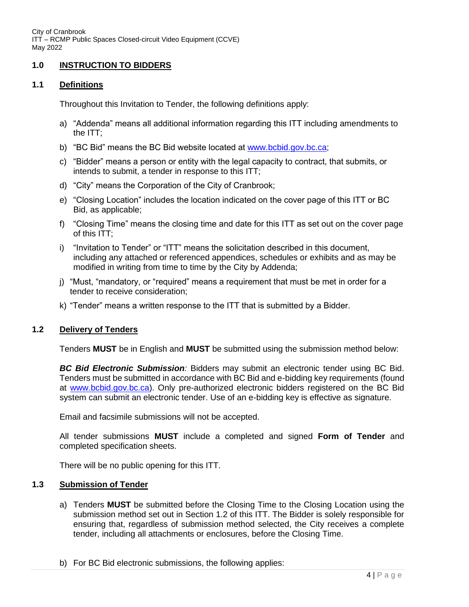## **1.0 INSTRUCTION TO BIDDERS**

## **1.1 Definitions**

Throughout this Invitation to Tender, the following definitions apply:

- a) "Addenda" means all additional information regarding this ITT including amendments to the ITT;
- b) "BC Bid" means the BC Bid website located at [www.bcbid.gov.bc.ca;](http://www.bcbid.gov.bc.ca/)
- c) "Bidder" means a person or entity with the legal capacity to contract, that submits, or intends to submit, a tender in response to this ITT;
- d) "City" means the Corporation of the City of Cranbrook;
- e) "Closing Location" includes the location indicated on the cover page of this ITT or BC Bid, as applicable;
- f) "Closing Time" means the closing time and date for this ITT as set out on the cover page of this ITT;
- i) "Invitation to Tender" or "ITT" means the solicitation described in this document, including any attached or referenced appendices, schedules or exhibits and as may be modified in writing from time to time by the City by Addenda;
- j) "Must, "mandatory, or "required" means a requirement that must be met in order for a tender to receive consideration;
- k) "Tender" means a written response to the ITT that is submitted by a Bidder.

## **1.2 Delivery of Tenders**

Tenders **MUST** be in English and **MUST** be submitted using the submission method below:

*BC Bid Electronic Submission:* Bidders may submit an electronic tender using BC Bid. Tenders must be submitted in accordance with BC Bid and e-bidding key requirements (found at [www.bcbid.gov.bc.ca\)](http://www.bcbid.gov.bc.ca/). Only pre-authorized electronic bidders registered on the BC Bid system can submit an electronic tender. Use of an e-bidding key is effective as signature.

Email and facsimile submissions will not be accepted.

All tender submissions **MUST** include a completed and signed **Form of Tender** and completed specification sheets.

There will be no public opening for this ITT.

### **1.3 Submission of Tender**

- a) Tenders **MUST** be submitted before the Closing Time to the Closing Location using the submission method set out in Section 1.2 of this ITT. The Bidder is solely responsible for ensuring that, regardless of submission method selected, the City receives a complete tender, including all attachments or enclosures, before the Closing Time.
- b) For BC Bid electronic submissions, the following applies: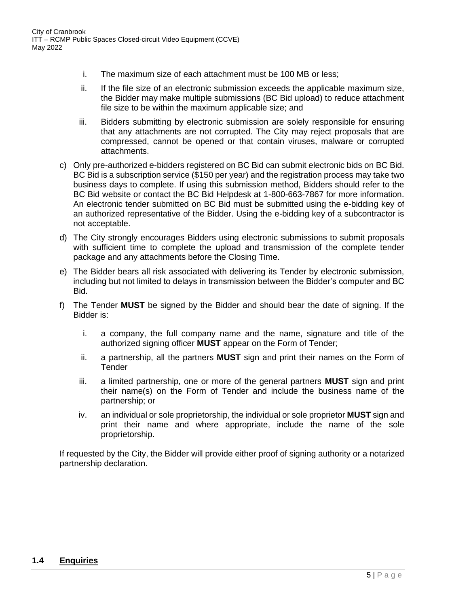- i. The maximum size of each attachment must be 100 MB or less;
- ii. If the file size of an electronic submission exceeds the applicable maximum size, the Bidder may make multiple submissions (BC Bid upload) to reduce attachment file size to be within the maximum applicable size; and
- iii. Bidders submitting by electronic submission are solely responsible for ensuring that any attachments are not corrupted. The City may reject proposals that are compressed, cannot be opened or that contain viruses, malware or corrupted attachments.
- c) Only pre-authorized e-bidders registered on BC Bid can submit electronic bids on BC Bid. BC Bid is a subscription service (\$150 per year) and the registration process may take two business days to complete. If using this submission method, Bidders should refer to the BC Bid website or contact the BC Bid Helpdesk at 1-800-663-7867 for more information. An electronic tender submitted on BC Bid must be submitted using the e-bidding key of an authorized representative of the Bidder. Using the e-bidding key of a subcontractor is not acceptable.
- d) The City strongly encourages Bidders using electronic submissions to submit proposals with sufficient time to complete the upload and transmission of the complete tender package and any attachments before the Closing Time.
- e) The Bidder bears all risk associated with delivering its Tender by electronic submission, including but not limited to delays in transmission between the Bidder's computer and BC Bid.
- f) The Tender **MUST** be signed by the Bidder and should bear the date of signing. If the Bidder is:
	- i. a company, the full company name and the name, signature and title of the authorized signing officer **MUST** appear on the Form of Tender;
	- ii. a partnership, all the partners **MUST** sign and print their names on the Form of **Tender**
	- iii. a limited partnership, one or more of the general partners **MUST** sign and print their name(s) on the Form of Tender and include the business name of the partnership; or
	- iv. an individual or sole proprietorship, the individual or sole proprietor **MUST** sign and print their name and where appropriate, include the name of the sole proprietorship.

If requested by the City, the Bidder will provide either proof of signing authority or a notarized partnership declaration.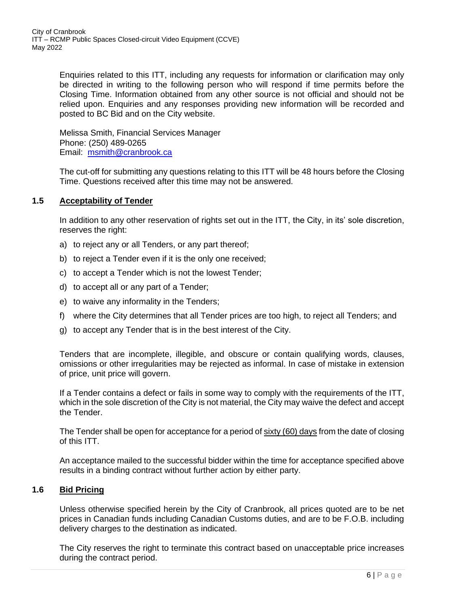> Enquiries related to this ITT, including any requests for information or clarification may only be directed in writing to the following person who will respond if time permits before the Closing Time. Information obtained from any other source is not official and should not be relied upon. Enquiries and any responses providing new information will be recorded and posted to BC Bid and on the City website.

Melissa Smith, Financial Services Manager Phone: (250) 489-0265 Email: [msmith@cranbrook.ca](mailto:msmith@cranbrook.ca)

The cut-off for submitting any questions relating to this ITT will be 48 hours before the Closing Time. Questions received after this time may not be answered.

## **1.5 Acceptability of Tender**

In addition to any other reservation of rights set out in the ITT, the City, in its' sole discretion, reserves the right:

- a) to reject any or all Tenders, or any part thereof;
- b) to reject a Tender even if it is the only one received;
- c) to accept a Tender which is not the lowest Tender;
- d) to accept all or any part of a Tender;
- e) to waive any informality in the Tenders;
- f) where the City determines that all Tender prices are too high, to reject all Tenders; and
- g) to accept any Tender that is in the best interest of the City.

Tenders that are incomplete, illegible, and obscure or contain qualifying words, clauses, omissions or other irregularities may be rejected as informal. In case of mistake in extension of price, unit price will govern.

If a Tender contains a defect or fails in some way to comply with the requirements of the ITT, which in the sole discretion of the City is not material, the City may waive the defect and accept the Tender.

The Tender shall be open for acceptance for a period of sixty (60) days from the date of closing of this ITT.

An acceptance mailed to the successful bidder within the time for acceptance specified above results in a binding contract without further action by either party.

## **1.6 Bid Pricing**

Unless otherwise specified herein by the City of Cranbrook, all prices quoted are to be net prices in Canadian funds including Canadian Customs duties, and are to be F.O.B. including delivery charges to the destination as indicated.

The City reserves the right to terminate this contract based on unacceptable price increases during the contract period.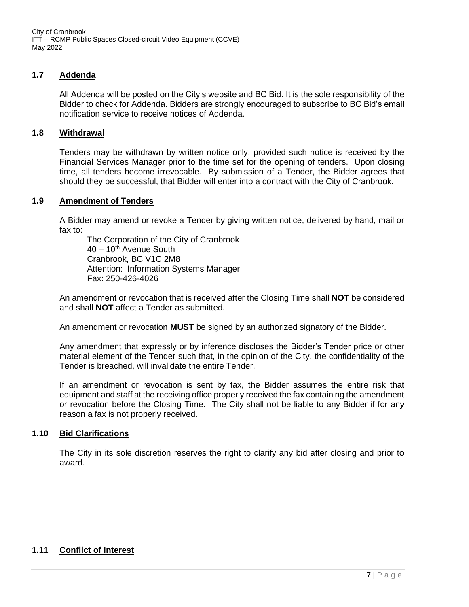## **1.7 Addenda**

All Addenda will be posted on the City's website and BC Bid. It is the sole responsibility of the Bidder to check for Addenda. Bidders are strongly encouraged to subscribe to BC Bid's email notification service to receive notices of Addenda.

### **1.8 Withdrawal**

Tenders may be withdrawn by written notice only, provided such notice is received by the Financial Services Manager prior to the time set for the opening of tenders. Upon closing time, all tenders become irrevocable. By submission of a Tender, the Bidder agrees that should they be successful, that Bidder will enter into a contract with the City of Cranbrook.

### **1.9 Amendment of Tenders**

A Bidder may amend or revoke a Tender by giving written notice, delivered by hand, mail or fax to:

The Corporation of the City of Cranbrook  $40 - 10$ <sup>th</sup> Avenue South Cranbrook, BC V1C 2M8 Attention: Information Systems Manager Fax: 250-426-4026

An amendment or revocation that is received after the Closing Time shall **NOT** be considered and shall **NOT** affect a Tender as submitted.

An amendment or revocation **MUST** be signed by an authorized signatory of the Bidder.

Any amendment that expressly or by inference discloses the Bidder's Tender price or other material element of the Tender such that, in the opinion of the City, the confidentiality of the Tender is breached, will invalidate the entire Tender.

If an amendment or revocation is sent by fax, the Bidder assumes the entire risk that equipment and staff at the receiving office properly received the fax containing the amendment or revocation before the Closing Time. The City shall not be liable to any Bidder if for any reason a fax is not properly received.

### **1.10 Bid Clarifications**

The City in its sole discretion reserves the right to clarify any bid after closing and prior to award.

## **1.11 Conflict of Interest**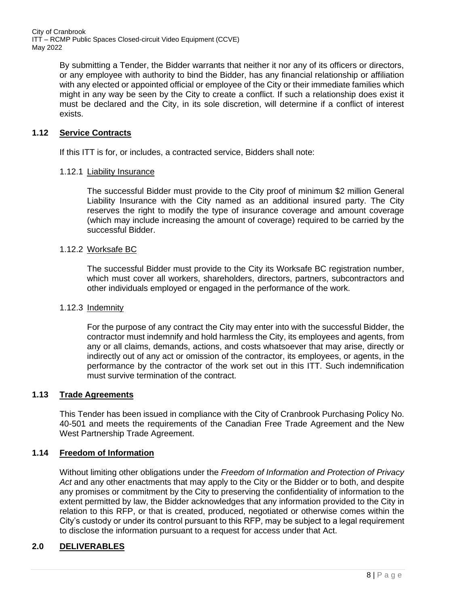> By submitting a Tender, the Bidder warrants that neither it nor any of its officers or directors, or any employee with authority to bind the Bidder, has any financial relationship or affiliation with any elected or appointed official or employee of the City or their immediate families which might in any way be seen by the City to create a conflict. If such a relationship does exist it must be declared and the City, in its sole discretion, will determine if a conflict of interest exists.

## **1.12 Service Contracts**

If this ITT is for, or includes, a contracted service, Bidders shall note:

### 1.12.1 Liability Insurance

The successful Bidder must provide to the City proof of minimum \$2 million General Liability Insurance with the City named as an additional insured party. The City reserves the right to modify the type of insurance coverage and amount coverage (which may include increasing the amount of coverage) required to be carried by the successful Bidder.

### 1.12.2 Worksafe BC

The successful Bidder must provide to the City its Worksafe BC registration number, which must cover all workers, shareholders, directors, partners, subcontractors and other individuals employed or engaged in the performance of the work.

## 1.12.3 Indemnity

For the purpose of any contract the City may enter into with the successful Bidder, the contractor must indemnify and hold harmless the City, its employees and agents, from any or all claims, demands, actions, and costs whatsoever that may arise, directly or indirectly out of any act or omission of the contractor, its employees, or agents, in the performance by the contractor of the work set out in this ITT. Such indemnification must survive termination of the contract.

## **1.13 Trade Agreements**

This Tender has been issued in compliance with the City of Cranbrook Purchasing Policy No. 40-501 and meets the requirements of the Canadian Free Trade Agreement and the New West Partnership Trade Agreement.

## **1.14 Freedom of Information**

Without limiting other obligations under the *Freedom of Information and Protection of Privacy Act* and any other enactments that may apply to the City or the Bidder or to both, and despite any promises or commitment by the City to preserving the confidentiality of information to the extent permitted by law, the Bidder acknowledges that any information provided to the City in relation to this RFP, or that is created, produced, negotiated or otherwise comes within the City's custody or under its control pursuant to this RFP, may be subject to a legal requirement to disclose the information pursuant to a request for access under that Act.

## **2.0 DELIVERABLES**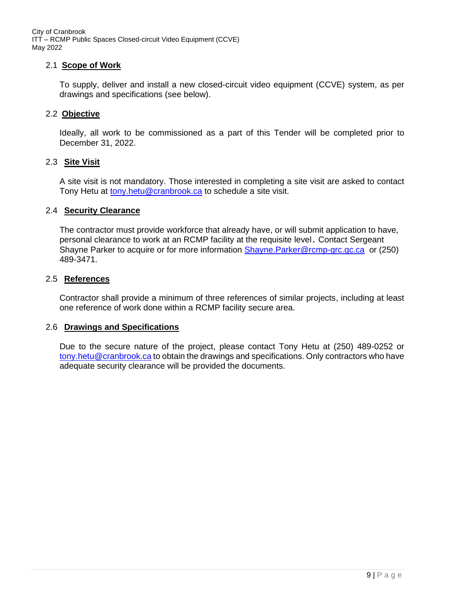## 2.1 **Scope of Work**

To supply, deliver and install a new closed-circuit video equipment (CCVE) system, as per drawings and specifications (see below).

### 2.2 **Objective**

Ideally, all work to be commissioned as a part of this Tender will be completed prior to December 31, 2022.

### 2.3 **Site Visit**

A site visit is not mandatory. Those interested in completing a site visit are asked to contact Tony Hetu at [tony.hetu@cranbrook.ca](mailto:tony.hetu@cranbrook.ca) to schedule a site visit.

### 2.4 **Security Clearance**

The contractor must provide workforce that already have, or will submit application to have, personal clearance to work at an RCMP facility at the requisite level. Contact Sergeant Shayne Parker to acquire or for more information [Shayne.Parker@rcmp-grc.gc.ca](mailto:Shayne.Parker@rcmp-grc.gc.ca) or (250) 489-3471.

### 2.5 **References**

Contractor shall provide a minimum of three references of similar projects, including at least one reference of work done within a RCMP facility secure area.

### 2.6 **Drawings and Specifications**

Due to the secure nature of the project, please contact Tony Hetu at (250) 489-0252 or [tony.hetu@cranbrook.ca](mailto:tony.hetu@cranbrook.ca) to obtain the drawings and specifications. Only contractors who have adequate security clearance will be provided the documents.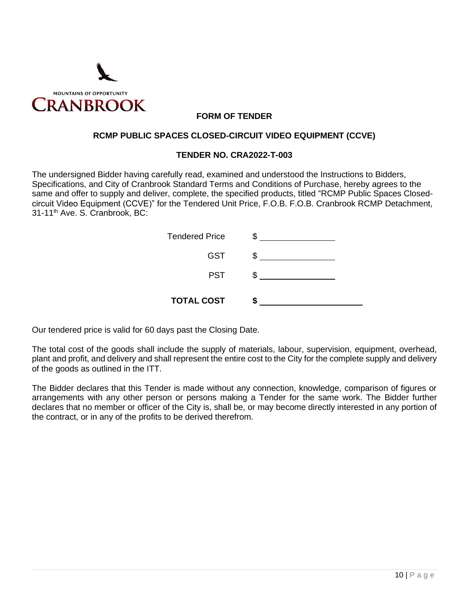

## **FORM OF TENDER**

### **RCMP PUBLIC SPACES CLOSED-CIRCUIT VIDEO EQUIPMENT (CCVE)**

### **TENDER NO. CRA2022-T-003**

The undersigned Bidder having carefully read, examined and understood the Instructions to Bidders, Specifications, and City of Cranbrook Standard Terms and Conditions of Purchase, hereby agrees to the same and offer to supply and deliver, complete, the specified products, titled "RCMP Public Spaces Closedcircuit Video Equipment (CCVE)" for the Tendered Unit Price, F.O.B. F.O.B. Cranbrook RCMP Detachment, 31-11th Ave. S. Cranbrook, BC:

| <b>Tendered Price</b> |  |
|-----------------------|--|
| <b>GST</b>            |  |
| <b>PST</b>            |  |
| <b>TOTAL COST</b>     |  |

Our tendered price is valid for 60 days past the Closing Date.

The total cost of the goods shall include the supply of materials, labour, supervision, equipment, overhead, plant and profit, and delivery and shall represent the entire cost to the City for the complete supply and delivery of the goods as outlined in the ITT.

The Bidder declares that this Tender is made without any connection, knowledge, comparison of figures or arrangements with any other person or persons making a Tender for the same work. The Bidder further declares that no member or officer of the City is, shall be, or may become directly interested in any portion of the contract, or in any of the profits to be derived therefrom.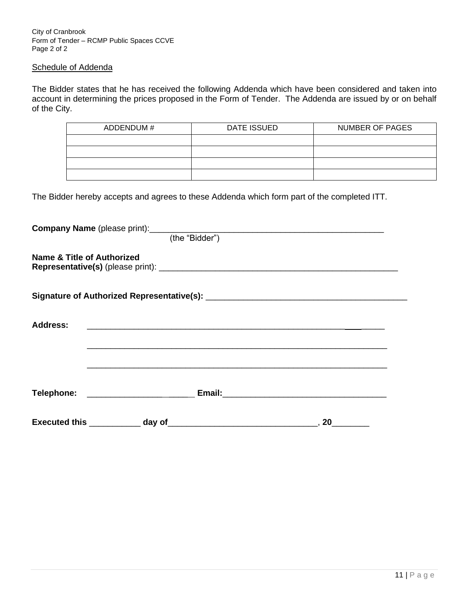City of Cranbrook Form of Tender – RCMP Public Spaces CCVE Page 2 of 2

### Schedule of Addenda

The Bidder states that he has received the following Addenda which have been considered and taken into account in determining the prices proposed in the Form of Tender. The Addenda are issued by or on behalf of the City.

| ADDENDUM# | <b>DATE ISSUED</b> | <b>NUMBER OF PAGES</b> |  |  |
|-----------|--------------------|------------------------|--|--|
|           |                    |                        |  |  |
|           |                    |                        |  |  |
|           |                    |                        |  |  |
|           |                    |                        |  |  |

The Bidder hereby accepts and agrees to these Addenda which form part of the completed ITT.

| <b>Name &amp; Title of Authorized</b> |                                                                                                                      |  |    |
|---------------------------------------|----------------------------------------------------------------------------------------------------------------------|--|----|
|                                       |                                                                                                                      |  |    |
| <b>Address:</b>                       | <u> 2000 - 2000 - 2000 - 2000 - 2000 - 2000 - 2000 - 2000 - 2000 - 2000 - 2000 - 2000 - 2000 - 2000 - 2000 - 200</u> |  |    |
|                                       |                                                                                                                      |  |    |
|                                       | Telephone: ______________________________Email:_________________________________                                     |  |    |
|                                       |                                                                                                                      |  | 20 |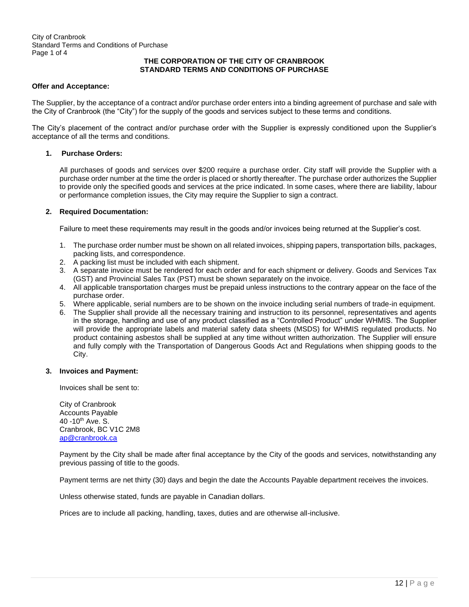### **THE CORPORATION OF THE CITY OF CRANBROOK STANDARD TERMS AND CONDITIONS OF PURCHASE**

### **Offer and Acceptance:**

The Supplier, by the acceptance of a contract and/or purchase order enters into a binding agreement of purchase and sale with the City of Cranbrook (the "City") for the supply of the goods and services subject to these terms and conditions.

The City's placement of the contract and/or purchase order with the Supplier is expressly conditioned upon the Supplier's acceptance of all the terms and conditions.

### **1. Purchase Orders:**

All purchases of goods and services over \$200 require a purchase order. City staff will provide the Supplier with a purchase order number at the time the order is placed or shortly thereafter. The purchase order authorizes the Supplier to provide only the specified goods and services at the price indicated. In some cases, where there are liability, labour or performance completion issues, the City may require the Supplier to sign a contract.

### **2. Required Documentation:**

Failure to meet these requirements may result in the goods and/or invoices being returned at the Supplier's cost.

- 1. The purchase order number must be shown on all related invoices, shipping papers, transportation bills, packages, packing lists, and correspondence.
- 2. A packing list must be included with each shipment.
- 3. A separate invoice must be rendered for each order and for each shipment or delivery. Goods and Services Tax (GST) and Provincial Sales Tax (PST) must be shown separately on the invoice.
- 4. All applicable transportation charges must be prepaid unless instructions to the contrary appear on the face of the purchase order.
- 5. Where applicable, serial numbers are to be shown on the invoice including serial numbers of trade-in equipment.
- 6. The Supplier shall provide all the necessary training and instruction to its personnel, representatives and agents in the storage, handling and use of any product classified as a "Controlled Product" under WHMIS. The Supplier will provide the appropriate labels and material safety data sheets (MSDS) for WHMIS regulated products. No product containing asbestos shall be supplied at any time without written authorization. The Supplier will ensure and fully comply with the Transportation of Dangerous Goods Act and Regulations when shipping goods to the City.

### **3. Invoices and Payment:**

Invoices shall be sent to:

City of Cranbrook Accounts Payable 40 -10<sup>th</sup> Ave. S. Cranbrook, BC V1C 2M8 [ap@cranbrook.ca](mailto:ap@cranbrook.ca)

Payment by the City shall be made after final acceptance by the City of the goods and services, notwithstanding any previous passing of title to the goods.

Payment terms are net thirty (30) days and begin the date the Accounts Payable department receives the invoices.

Unless otherwise stated, funds are payable in Canadian dollars.

Prices are to include all packing, handling, taxes, duties and are otherwise all-inclusive.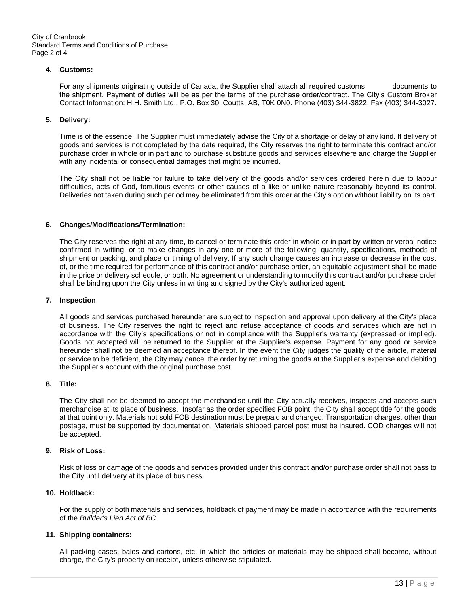City of Cranbrook Standard Terms and Conditions of Purchase Page 2 of 4

#### **4. Customs:**

For any shipments originating outside of Canada, the Supplier shall attach all required customs documents to the shipment. Payment of duties will be as per the terms of the purchase order/contract. The City's Custom Broker Contact Information: H.H. Smith Ltd., P.O. Box 30, Coutts, AB, T0K 0N0. Phone (403) 344-3822, Fax (403) 344-3027.

### **5. Delivery:**

Time is of the essence. The Supplier must immediately advise the City of a shortage or delay of any kind. If delivery of goods and services is not completed by the date required, the City reserves the right to terminate this contract and/or purchase order in whole or in part and to purchase substitute goods and services elsewhere and charge the Supplier with any incidental or consequential damages that might be incurred.

The City shall not be liable for failure to take delivery of the goods and/or services ordered herein due to labour difficulties, acts of God, fortuitous events or other causes of a like or unlike nature reasonably beyond its control. Deliveries not taken during such period may be eliminated from this order at the City's option without liability on its part.

### **6. Changes/Modifications/Termination:**

The City reserves the right at any time, to cancel or terminate this order in whole or in part by written or verbal notice confirmed in writing, or to make changes in any one or more of the following: quantity, specifications, methods of shipment or packing, and place or timing of delivery. If any such change causes an increase or decrease in the cost of, or the time required for performance of this contract and/or purchase order, an equitable adjustment shall be made in the price or delivery schedule, or both. No agreement or understanding to modify this contract and/or purchase order shall be binding upon the City unless in writing and signed by the City's authorized agent.

#### **7. Inspection**

All goods and services purchased hereunder are subject to inspection and approval upon delivery at the City's place of business. The City reserves the right to reject and refuse acceptance of goods and services which are not in accordance with the City's specifications or not in compliance with the Supplier's warranty (expressed or implied). Goods not accepted will be returned to the Supplier at the Supplier's expense. Payment for any good or service hereunder shall not be deemed an acceptance thereof. In the event the City judges the quality of the article, material or service to be deficient, the City may cancel the order by returning the goods at the Supplier's expense and debiting the Supplier's account with the original purchase cost.

### **8. Title:**

The City shall not be deemed to accept the merchandise until the City actually receives, inspects and accepts such merchandise at its place of business. Insofar as the order specifies FOB point, the City shall accept title for the goods at that point only. Materials not sold FOB destination must be prepaid and charged. Transportation charges, other than postage, must be supported by documentation. Materials shipped parcel post must be insured. COD charges will not be accepted.

### **9. Risk of Loss:**

Risk of loss or damage of the goods and services provided under this contract and/or purchase order shall not pass to the City until delivery at its place of business.

#### **10. Holdback:**

For the supply of both materials and services, holdback of payment may be made in accordance with the requirements of the *Builder's Lien Act of BC*.

### **11. Shipping containers:**

All packing cases, bales and cartons, etc. in which the articles or materials may be shipped shall become, without charge, the City's property on receipt, unless otherwise stipulated.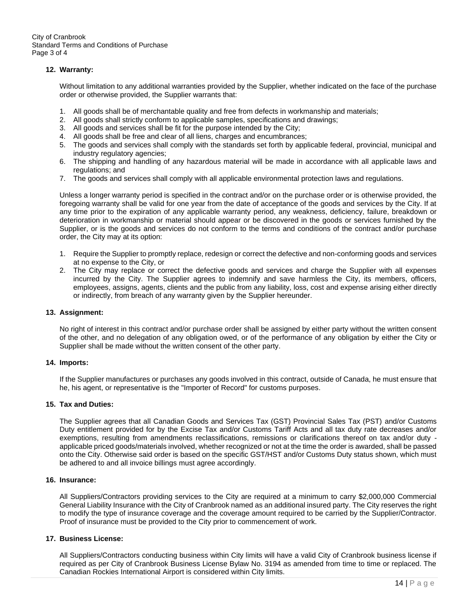City of Cranbrook Standard Terms and Conditions of Purchase Page 3 of 4

### **12. Warranty:**

Without limitation to any additional warranties provided by the Supplier, whether indicated on the face of the purchase order or otherwise provided, the Supplier warrants that:

- 1. All goods shall be of merchantable quality and free from defects in workmanship and materials;
- 2. All goods shall strictly conform to applicable samples, specifications and drawings;
- 3. All goods and services shall be fit for the purpose intended by the City;
- 4. All goods shall be free and clear of all liens, charges and encumbrances;
- 5. The goods and services shall comply with the standards set forth by applicable federal, provincial, municipal and industry regulatory agencies;
- 6. The shipping and handling of any hazardous material will be made in accordance with all applicable laws and regulations; and
- 7. The goods and services shall comply with all applicable environmental protection laws and regulations.

Unless a longer warranty period is specified in the contract and/or on the purchase order or is otherwise provided, the foregoing warranty shall be valid for one year from the date of acceptance of the goods and services by the City. If at any time prior to the expiration of any applicable warranty period, any weakness, deficiency, failure, breakdown or deterioration in workmanship or material should appear or be discovered in the goods or services furnished by the Supplier, or is the goods and services do not conform to the terms and conditions of the contract and/or purchase order, the City may at its option:

- 1. Require the Supplier to promptly replace, redesign or correct the defective and non-conforming goods and services at no expense to the City, or
- 2. The City may replace or correct the defective goods and services and charge the Supplier with all expenses incurred by the City. The Supplier agrees to indemnify and save harmless the City, its members, officers, employees, assigns, agents, clients and the public from any liability, loss, cost and expense arising either directly or indirectly, from breach of any warranty given by the Supplier hereunder.

#### **13. Assignment:**

No right of interest in this contract and/or purchase order shall be assigned by either party without the written consent of the other, and no delegation of any obligation owed, or of the performance of any obligation by either the City or Supplier shall be made without the written consent of the other party.

#### **14. Imports:**

If the Supplier manufactures or purchases any goods involved in this contract, outside of Canada, he must ensure that he, his agent, or representative is the "Importer of Record" for customs purposes.

### **15. Tax and Duties:**

The Supplier agrees that all Canadian Goods and Services Tax (GST) Provincial Sales Tax (PST) and/or Customs Duty entitlement provided for by the Excise Tax and/or Customs Tariff Acts and all tax duty rate decreases and/or exemptions, resulting from amendments reclassifications, remissions or clarifications thereof on tax and/or duty applicable priced goods/materials involved, whether recognized or not at the time the order is awarded, shall be passed onto the City. Otherwise said order is based on the specific GST/HST and/or Customs Duty status shown, which must be adhered to and all invoice billings must agree accordingly.

### **16. Insurance:**

All Suppliers/Contractors providing services to the City are required at a minimum to carry \$2,000,000 Commercial General Liability Insurance with the City of Cranbrook named as an additional insured party. The City reserves the right to modify the type of insurance coverage and the coverage amount required to be carried by the Supplier/Contractor. Proof of insurance must be provided to the City prior to commencement of work.

#### **17. Business License:**

All Suppliers/Contractors conducting business within City limits will have a valid City of Cranbrook business license if required as per City of Cranbrook Business License Bylaw No. 3194 as amended from time to time or replaced. The Canadian Rockies International Airport is considered within City limits.